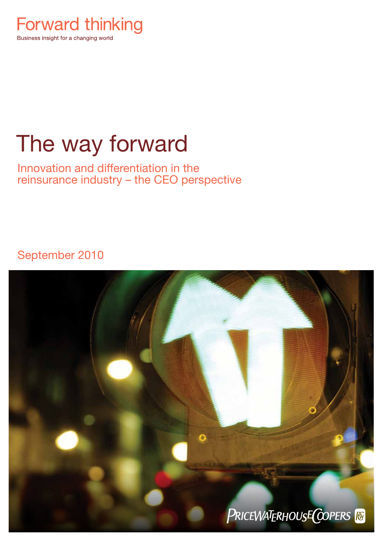

# The way forward

Innovation and differentiation in the reinsurance industry – the CEO perspective

September 2010

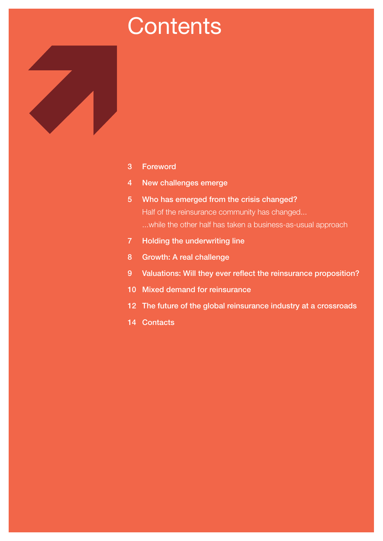# **Contents**



- New challenges emerge
- Who has emerged from the crisis changed? Half of the reinsurance community has changed... ...while the other half has taken a business-as-usual approach
- Holding the underwriting line
- Growth: A real challenge
- Valuations: Will they ever reflect the reinsurance proposition?
- Mixed demand for reinsurance
- The future of the global reinsurance industry at a crossroads
- Contacts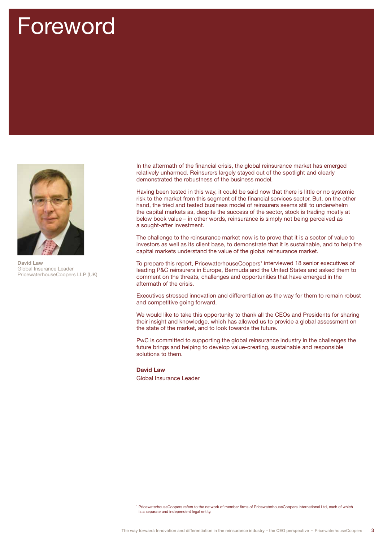# Foreword



David Law Global Insurance Leader PricewaterhouseCoopers LLP (UK)

In the aftermath of the financial crisis, the global reinsurance market has emerged relatively unharmed. Reinsurers largely stayed out of the spotlight and clearly demonstrated the robustness of the business model.

Having been tested in this way, it could be said now that there is little or no systemic risk to the market from this segment of the financial services sector. But, on the other hand, the tried and tested business model of reinsurers seems still to underwhelm the capital markets as, despite the success of the sector, stock is trading mostly at below book value – in other words, reinsurance is simply not being perceived as a sought-after investment.

The challenge to the reinsurance market now is to prove that it is a sector of value to investors as well as its client base, to demonstrate that it is sustainable, and to help the capital markets understand the value of the global reinsurance market.

To prepare this report, PricewaterhouseCoopers<sup>1</sup> interviewed 18 senior executives of leading P&C reinsurers in Europe, Bermuda and the United States and asked them to comment on the threats, challenges and opportunities that have emerged in the aftermath of the crisis.

Executives stressed innovation and differentiation as the way for them to remain robust and competitive going forward.

We would like to take this opportunity to thank all the CEOs and Presidents for sharing their insight and knowledge, which has allowed us to provide a global assessment on the state of the market, and to look towards the future.

PwC is committed to supporting the global reinsurance industry in the challenges the future brings and helping to develop value-creating, sustainable and responsible solutions to them.

### David Law

Global Insurance Leader

<sup>1</sup> PricewaterhouseCoopers refers to the network of member firms of PricewaterhouseCoopers International Ltd, each of which is a separate and independent legal entity.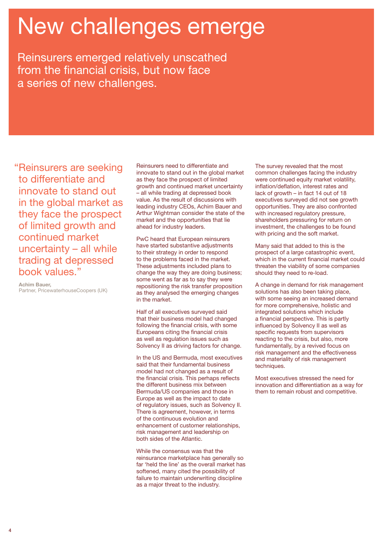# New challenges emerge

Reinsurers emerged relatively unscathed from the financial crisis, but now face a series of new challenges.

"Reinsurers are seeking to differentiate and innovate to stand out in the global market as they face the prospect of limited growth and continued market uncertainty – all while trading at depressed book values."

Achim Bauer, Partner, PricewaterhouseCoopers (UK)

Reinsurers need to differentiate and innovate to stand out in the global market as they face the prospect of limited growth and continued market uncertainty – all while trading at depressed book value. As the result of discussions with leading industry CEOs, Achim Bauer and Arthur Wightman consider the state of the market and the opportunities that lie ahead for industry leaders.

PwC heard that European reinsurers have started substantive adjustments to their strategy in order to respond to the problems faced in the market. These adjustments included plans to change the way they are doing business; some went as far as to say they were repositioning the risk transfer proposition as they analysed the emerging changes in the market.

Half of all executives surveyed said that their business model had changed following the financial crisis, with some Europeans citing the financial crisis as well as regulation issues such as Solvency II as driving factors for change.

In the US and Bermuda, most executives said that their fundamental business model had not changed as a result of the financial crisis. This perhaps reflects the different business mix between Bermuda/US companies and those in Europe as well as the impact to date of regulatory issues, such as Solvency II. There is agreement, however, in terms of the continuous evolution and enhancement of customer relationships, risk management and leadership on both sides of the Atlantic.

While the consensus was that the reinsurance marketplace has generally so far 'held the line' as the overall market has softened, many cited the possibility of failure to maintain underwriting discipline as a major threat to the industry.

The survey revealed that the most common challenges facing the industry were continued equity market volatility, inflation/deflation, interest rates and lack of growth – in fact 14 out of 18 executives surveyed did not see growth opportunities. They are also confronted with increased regulatory pressure, shareholders pressuring for return on investment, the challenges to be found with pricing and the soft market.

Many said that added to this is the prospect of a large catastrophic event, which in the current financial market could threaten the viability of some companies should they need to re-load.

A change in demand for risk management solutions has also been taking place, with some seeing an increased demand for more comprehensive, holistic and integrated solutions which include a financial perspective. This is partly influenced by Solvency II as well as specific requests from supervisors reacting to the crisis, but also, more fundamentally, by a revived focus on risk management and the effectiveness and materiality of risk management techniques.

Most executives stressed the need for innovation and differentiation as a way for them to remain robust and competitive.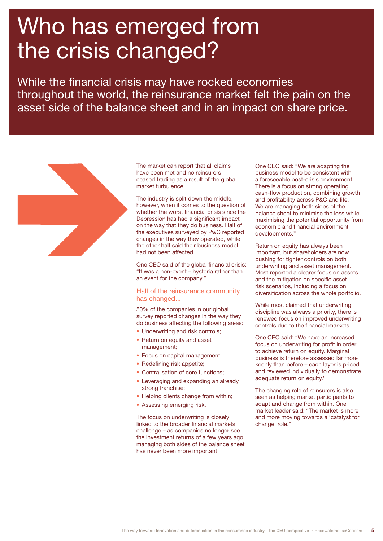# Who has emerged from the crisis changed?

While the financial crisis may have rocked economies throughout the world, the reinsurance market felt the pain on the asset side of the balance sheet and in an impact on share price.



The market can report that all claims have been met and no reinsurers ceased trading as a result of the global market turbulence.

The industry is split down the middle, however, when it comes to the question of whether the worst financial crisis since the Depression has had a significant impact on the way that they do business. Half of the executives surveyed by PwC reported changes in the way they operated, while the other half said their business model had not been affected.

One CEO said of the global financial crisis: "It was a non-event – hysteria rather than an event for the company."

### Half of the reinsurance community has changed...

50% of the companies in our global survey reported changes in the way they do business affecting the following areas:

- Underwriting and risk controls;
- Return on equity and asset management;
- Focus on capital management;
- Redefining risk appetite;
- Centralisation of core functions;
- Leveraging and expanding an already strong franchise;
- Helping clients change from within;
- Assessing emerging risk.

The focus on underwriting is closely linked to the broader financial markets challenge – as companies no longer see the investment returns of a few years ago, managing both sides of the balance sheet has never been more important.

One CEO said: "We are adapting the business model to be consistent with a foreseeable post-crisis environment. There is a focus on strong operating cash-flow production, combining growth and profitability across P&C and life. We are managing both sides of the balance sheet to minimise the loss while maximising the potential opportunity from economic and financial environment developments."

Return on equity has always been important, but shareholders are now pushing for tighter controls on both underwriting and asset management. Most reported a clearer focus on assets and the mitigation on specific asset risk scenarios, including a focus on diversification across the whole portfolio.

While most claimed that underwriting discipline was always a priority, there is renewed focus on improved underwriting controls due to the financial markets.

One CEO said: "We have an increased focus on underwriting for profit in order to achieve return on equity. Marginal business is therefore assessed far more keenly than before – each layer is priced and reviewed individually to demonstrate adequate return on equity."

The changing role of reinsurers is also seen as helping market participants to adapt and change from within. One market leader said: "The market is more and more moving towards a 'catalyst for change' role."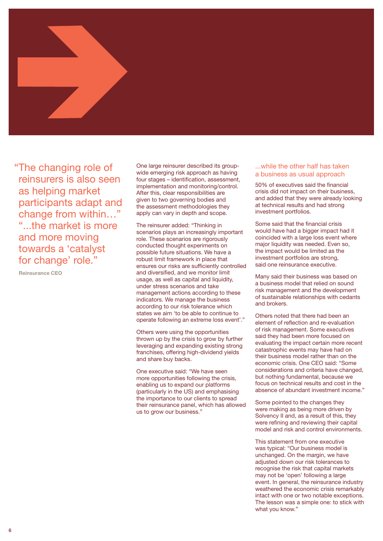

"The changing role of reinsurers is also seen as helping market participants adapt and change from within…" "...the market is more and more moving towards a 'catalyst for change' role."

Reinsurance CEO

One large reinsurer described its groupwide emerging risk approach as having four stages – identification, assessment, implementation and monitoring/control. After this, clear responsibilities are given to two governing bodies and the assessment methodologies they apply can vary in depth and scope.

The reinsurer added: "Thinking in scenarios plays an increasingly important role. These scenarios are rigorously conducted thought experiments on possible future situations. We have a robust limit framework in place that ensures our risks are sufficiently controlled and diversified, and we monitor limit usage, as well as capital and liquidity, under stress scenarios and take management actions according to these indicators. We manage the business according to our risk tolerance which states we aim 'to be able to continue to operate following an extreme loss event'."

Others were using the opportunities thrown up by the crisis to grow by further leveraging and expanding existing strong franchises, offering high-dividend yields and share buy backs.

One executive said: "We have seen more opportunities following the crisis, enabling us to expand our platforms (particularly in the US) and emphasising the importance to our clients to spread their reinsurance panel, which has allowed us to grow our business."

...while the other half has taken a business as usual approach

50% of executives said the financial crisis did not impact on their business, and added that they were already looking at technical results and had strong investment portfolios.

Some said that the financial crisis would have had a bigger impact had it coincided with a large loss event where major liquidity was needed. Even so, the impact would be limited as the investment portfolios are strong, said one reinsurance executive.

Many said their business was based on a business model that relied on sound risk management and the development of sustainable relationships with cedants and brokers.

Others noted that there had been an element of reflection and re-evaluation of risk management. Some executives said they had been more focused on evaluating the impact certain more recent catastrophic events may have had on their business model rather than on the economic crisis. One CEO said: "Some considerations and criteria have changed, but nothing fundamental, because we focus on technical results and cost in the absence of abundant investment income."

Some pointed to the changes they were making as being more driven by Solvency II and, as a result of this, they were refining and reviewing their capital model and risk and control environments.

This statement from one executive was typical: "Our business model is unchanged. On the margin, we have adjusted down our risk tolerances to recognise the risk that capital markets may not be 'open' following a large event. In general, the reinsurance industry weathered the economic crisis remarkably intact with one or two notable exceptions. The lesson was a simple one: to stick with what you know."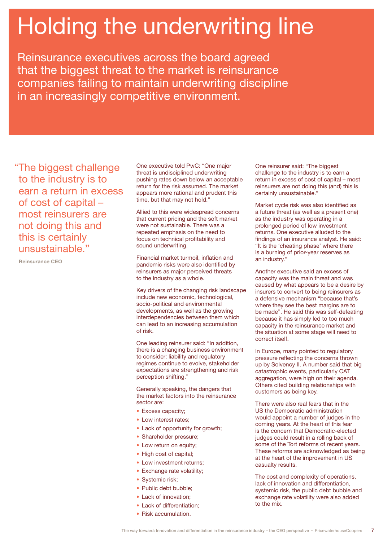# Holding the underwriting line

Reinsurance executives across the board agreed that the biggest threat to the market is reinsurance companies failing to maintain underwriting discipline in an increasingly competitive environment.

"The biggest challenge to the industry is to earn a return in excess of cost of capital – most reinsurers are not doing this and this is certainly unsustainable."

Reinsurance CEO

One executive told PwC: "One major threat is undisciplined underwriting pushing rates down below an acceptable return for the risk assumed. The market appears more rational and prudent this time, but that may not hold."

Allied to this were widespread concerns that current pricing and the soft market were not sustainable. There was a repeated emphasis on the need to focus on technical profitability and sound underwriting.

Financial market turmoil, inflation and pandemic risks were also identified by reinsurers as major perceived threats to the industry as a whole.

Key drivers of the changing risk landscape include new economic, technological, socio-political and environmental developments, as well as the growing interdependencies between them which can lead to an increasing accumulation of risk.

One leading reinsurer said: "In addition, there is a changing business environment to consider: liability and regulatory regimes continue to evolve, stakeholder expectations are strengthening and risk perception shifting."

Generally speaking, the dangers that the market factors into the reinsurance sector are:

- Excess capacity;
- Low interest rates;
- Lack of opportunity for growth;
- Shareholder pressure;
- Low return on equity;
- High cost of capital;
- Low investment returns:
- Exchange rate volatility;
- Systemic risk;
- Public debt bubble;
- Lack of innovation;
- Lack of differentiation:
- Risk accumulation.

One reinsurer said: "The biggest challenge to the industry is to earn a return in excess of cost of capital – most reinsurers are not doing this (and) this is certainly unsustainable."

Market cycle risk was also identified as a future threat (as well as a present one) as the industry was operating in a prolonged period of low investment returns. One executive alluded to the findings of an insurance analyst. He said: "It is the 'cheating phase' where there is a burning of prior-year reserves as an industry."

Another executive said an excess of capacity was the main threat and was caused by what appears to be a desire by insurers to convert to being reinsurers as a defensive mechanism "because that's where they see the best margins are to be made". He said this was self-defeating because it has simply led to too much capacity in the reinsurance market and the situation at some stage will need to correct itself.

In Europe, many pointed to regulatory pressure reflecting the concerns thrown up by Solvency II. A number said that big catastrophic events, particularly CAT aggregation, were high on their agenda. Others cited building relationships with customers as being key.

There were also real fears that in the US the Democratic administration would appoint a number of judges in the coming years. At the heart of this fear is the concern that Democratic-elected judges could result in a rolling back of some of the Tort reforms of recent years. These reforms are acknowledged as being at the heart of the improvement in US casualty results.

The cost and complexity of operations, lack of innovation and differentiation, systemic risk, the public debt bubble and exchange rate volatility were also added to the mix.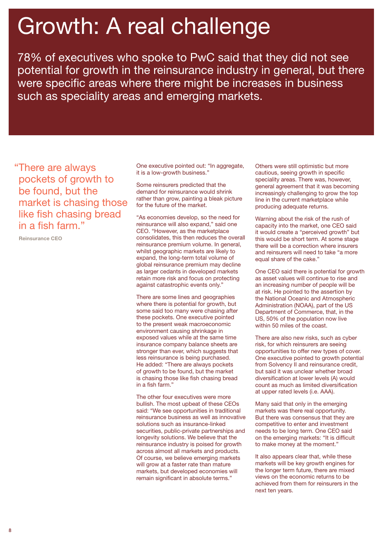# Growth: A real challenge

78% of executives who spoke to PwC said that they did not see potential for growth in the reinsurance industry in general, but there were specific areas where there might be increases in business such as speciality areas and emerging markets.

"There are always pockets of growth to be found, but the market is chasing those like fish chasing bread in a fish farm."

Reinsurance CEO

One executive pointed out: "In aggregate, it is a low-growth business."

Some reinsurers predicted that the demand for reinsurance would shrink rather than grow, painting a bleak picture for the future of the market.

"As economies develop, so the need for reinsurance will also expand," said one CEO. "However, as the marketplace consolidates, this then reduces the overall reinsurance premium volume. In general, whilst geographic markets are likely to expand, the long-term total volume of global reinsurance premium may decline as larger cedants in developed markets retain more risk and focus on protecting against catastrophic events only."

There are some lines and geographies where there is potential for growth, but some said too many were chasing after these pockets. One executive pointed to the present weak macroeconomic environment causing shrinkage in exposed values while at the same time insurance company balance sheets are stronger than ever, which suggests that less reinsurance is being purchased. He added: "There are always pockets of growth to be found, but the market is chasing those like fish chasing bread in a fish farm."

The other four executives were more bullish. The most upbeat of these CEOs said: "We see opportunities in traditional reinsurance business as well as innovative solutions such as insurance-linked securities, public-private partnerships and longevity solutions. We believe that the reinsurance industry is poised for growth across almost all markets and products. Of course, we believe emerging markets will grow at a faster rate than mature markets, but developed economies will remain significant in absolute terms."

Others were still optimistic but more cautious, seeing growth in specific speciality areas. There was, however, general agreement that it was becoming increasingly challenging to grow the top line in the current marketplace while producing adequate returns.

Warning about the risk of the rush of capacity into the market, one CEO said it would create a "perceived growth" but this would be short term. At some stage there will be a correction where insurers and reinsurers will need to take "a more equal share of the cake."

One CEO said there is potential for growth as asset values will continue to rise and an increasing number of people will be at risk. He pointed to the assertion by the National Oceanic and Atmospheric Administration (NOAA), part of the US Department of Commerce, that, in the US, 50% of the population now live within 50 miles of the coast.

There are also new risks, such as cyber risk, for which reinsurers are seeing opportunities to offer new types of cover. One executive pointed to growth potential from Solvency II and reinsurance credit, but said it was unclear whether broad diversification at lower levels (A) would count as much as limited diversification at upper rated levels (i.e. AAA).

Many said that only in the emerging markets was there real opportunity. But there was consensus that they are competitive to enter and investment needs to be long term. One CEO said on the emerging markets: "It is difficult to make money at the moment."

It also appears clear that, while these markets will be key growth engines for the longer term future, there are mixed views on the economic returns to be achieved from them for reinsurers in the next ten years.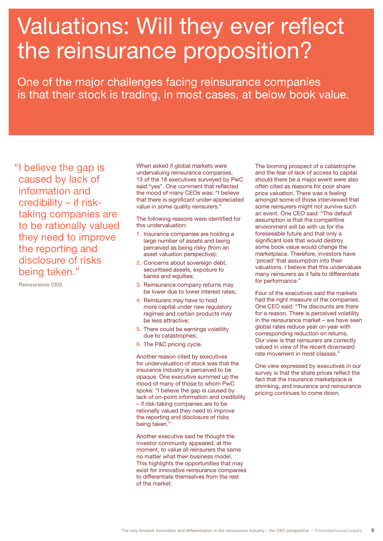# Valuations: Will they ever reflect the reinsurance proposition?

One of the major challenges facing reinsurance companies is that their stock is trading, in most cases, at below book value.

"I believe the gap is caused by lack of information and credibility – if risktaking companies are to be rationally valued they need to improve the reporting and disclosure of risks being taken."

Reinsurance CEO

When asked if global markets were undervaluing reinsurance companies, 13 of the 18 executives surveyed by PwC said "yes". One comment that reflected the mood of many CEOs was: "I believe that there is significant under-appreciated value in some quality reinsurers."

The following reasons were identified for this undervaluation:

- 1. Insurance companies are holding a large number of assets and being perceived as being risky (from an asset valuation perspective);
- 2. Concerns about sovereign debt, securitised assets, exposure to banks and equities;
- 3. Reinsurance company returns may be lower due to lower interest rates;
- 4. Reinsurers may have to hold more capital under new regulatory regimes and certain products may be less attractive;
- 5. There could be earnings volatility due to catastrophes;
- 6. The P&C pricing cycle.

Another reason cited by executives for undervaluation of stock was that the insurance industry is perceived to be opaque. One executive summed up the mood of many of those to whom PwC spoke: "I believe the gap is caused by lack of on-point information and credibility – if risk-taking companies are to be rationally valued they need to improve the reporting and disclosure of risks being taken."

Another executive said he thought the investor community appeared, at the moment, to value all reinsurers the same no matter what their business model. This highlights the opportunities that may exist for innovative reinsurance companies to differentiate themselves from the rest of the market.

The looming prospect of a catastrophe and the fear of lack of access to capital should there be a major event were also often cited as reasons for poor share price valuation. There was a feeling amongst some of those interviewed that some reinsurers might not survive such an event. One CEO said: "The default assumption is that the competitive environment will be with us for the foreseeable future and that only a significant loss that would destroy some book value would change the marketplace. Therefore, investors have 'priced' that assumption into their valuations. I believe that this undervalues many reinsurers as it fails to differentiate for performance."

Four of the executives said the markets had the right measure of the companies. One CEO said: "The discounts are there for a reason. There is perceived volatility in the reinsurance market – we have seen global rates reduce year on year with corresponding reduction on returns. Our view is that reinsurers are correctly valued in view of the recent downward rate movement in most classes."

One view expressed by executives in our survey is that the share prices reflect the fact that the insurance marketplace is shrinking, and insurance and reinsurance pricing continues to come down.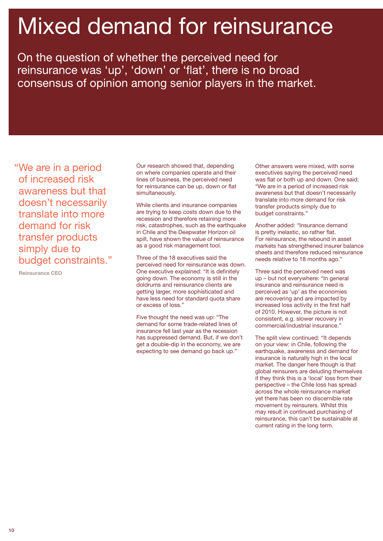# Mixed demand for reinsurance

On the question of whether the perceived need for reinsurance was 'up', 'down' or 'flat', there is no broad consensus of opinion among senior players in the market.

"We are in a period of increased risk awareness but that doesn't necessarily translate into more demand for risk transfer products simply due to budget constraints."

Reinsurance CEO

Our research showed that, depending on where companies operate and their lines of business, the perceived need for reinsurance can be up, down or flat simultaneously.

While clients and insurance companies are trying to keep costs down due to the recession and therefore retaining more risk, catastrophes, such as the earthquake in Chile and the Deepwater Horizon oil spill, have shown the value of reinsurance as a good risk management tool.

Three of the 18 executives said the perceived need for reinsurance was down. One executive explained: "It is definitely going down. The economy is still in the doldrums and reinsurance clients are getting larger, more sophisticated and have less need for standard quota share or excess of loss."

Five thought the need was up: "The demand for some trade-related lines of insurance fell last year as the recession has suppressed demand. But, if we don't get a double-dip in the economy, we are expecting to see demand go back up."

Other answers were mixed, with some executives saying the perceived need was flat or both up and down. One said: "We are in a period of increased risk awareness but that doesn't necessarily translate into more demand for risk transfer products simply due to budget constraints."

Another added: "Insurance demand is pretty inelastic, so rather flat. For reinsurance, the rebound in asset markets has strengthened insurer balance sheets and therefore reduced reinsurance needs relative to 18 months ago."

Three said the perceived need was up – but not everywhere: "In general insurance and reinsurance need is perceived as 'up' as the economies are recovering and are impacted by increased loss activity in the first half of 2010. However, the picture is not consistent, e.g. slower recovery in commercial/industrial insurance."

The split view continued: "It depends on your view: in Chile, following the earthquake, awareness and demand for insurance is naturally high in the local market. The danger here though is that global reinsurers are deluding themselves if they think this is a 'local' loss from their perspective – the Chile loss has spread across the whole reinsurance market yet there has been no discernible rate movement by reinsurers. Whilst this may result in continued purchasing of reinsurance, this can't be sustainable at current rating in the long term.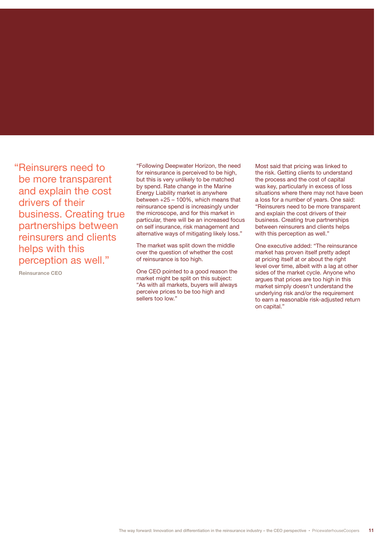"Reinsurers need to be more transparent and explain the cost drivers of their business. Creating true partnerships between reinsurers and clients helps with this perception as well."

Reinsurance CEO

"Following Deepwater Horizon, the need for reinsurance is perceived to be high, but this is very unlikely to be matched by spend. Rate change in the Marine Energy Liability market is anywhere between +25 – 100%, which means that reinsurance spend is increasingly under the microscope, and for this market in particular, there will be an increased focus on self insurance, risk management and alternative ways of mitigating likely loss."

The market was split down the middle over the question of whether the cost of reinsurance is too high.

One CEO pointed to a good reason the market might be split on this subject: "As with all markets, buyers will always perceive prices to be too high and sellers too low."

Most said that pricing was linked to the risk. Getting clients to understand the process and the cost of capital was key, particularly in excess of loss situations where there may not have been a loss for a number of years. One said: "Reinsurers need to be more transparent and explain the cost drivers of their business. Creating true partnerships between reinsurers and clients helps with this perception as well."

One executive added: "The reinsurance market has proven itself pretty adept at pricing itself at or about the right level over time, albeit with a lag at other sides of the market cycle. Anyone who argues that prices are too high in this market simply doesn't understand the underlying risk and/or the requirement to earn a reasonable risk-adjusted return on capital."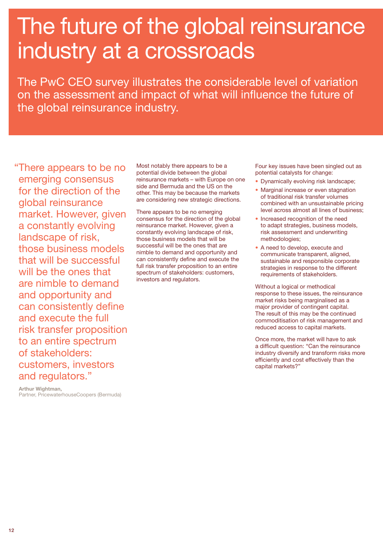# The future of the global reinsurance industry at a crossroads

The PwC CEO survey illustrates the considerable level of variation on the assessment and impact of what will influence the future of the global reinsurance industry.

"There appears to be no emerging consensus for the direction of the global reinsurance market. However, given a constantly evolving landscape of risk, those business models that will be successful will be the ones that are nimble to demand and opportunity and can consistently define and execute the full risk transfer proposition to an entire spectrum of stakeholders: customers, investors and regulators."

Most notably there appears to be a potential divide between the global reinsurance markets – with Europe on one side and Bermuda and the US on the other. This may be because the markets are considering new strategic directions.

There appears to be no emerging consensus for the direction of the global reinsurance market. However, given a constantly evolving landscape of risk, those business models that will be successful will be the ones that are nimble to demand and opportunity and can consistently define and execute the full risk transfer proposition to an entire spectrum of stakeholders: customers, investors and regulators.

Four key issues have been singled out as potential catalysts for change:

- Dynamically evolving risk landscape;
- Marginal increase or even stagnation of traditional risk transfer volumes combined with an unsustainable pricing level across almost all lines of business;
- Increased recognition of the need to adapt strategies, business models, risk assessment and underwriting methodologies;
- A need to develop, execute and communicate transparent, aligned, sustainable and responsible corporate strategies in response to the different requirements of stakeholders.

Without a logical or methodical response to these issues, the reinsurance market risks being marginalised as a major provider of contingent capital. The result of this may be the continued commoditisation of risk management and reduced access to capital markets.

Once more, the market will have to ask a difficult question: "Can the reinsurance industry diversify and transform risks more efficiently and cost effectively than the capital markets?"

Arthur Wightman, Partner, PricewaterhouseCoopers (Bermuda)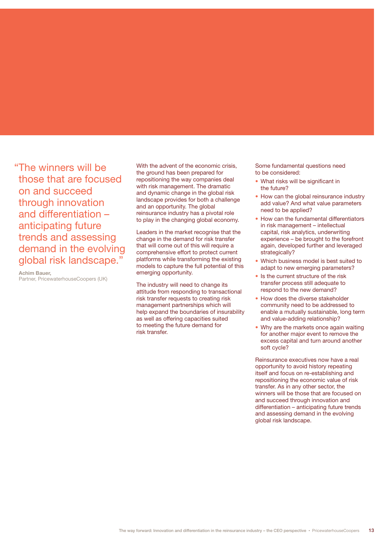"The winners will be those that are focused on and succeed through innovation and differentiation – anticipating future trends and assessing demand in the evolving global risk landscape."

Achim Bauer, Partner, PricewaterhouseCoopers (UK)

With the advent of the economic crisis, the ground has been prepared for repositioning the way companies deal with risk management. The dramatic and dynamic change in the global risk landscape provides for both a challenge and an opportunity. The global reinsurance industry has a pivotal role to play in the changing global economy.

Leaders in the market recognise that the change in the demand for risk transfer that will come out of this will require a comprehensive effort to protect current platforms while transforming the existing models to capture the full potential of this emerging opportunity.

The industry will need to change its attitude from responding to transactional risk transfer requests to creating risk management partnerships which will help expand the boundaries of insurability as well as offering capacities suited to meeting the future demand for risk transfer.

Some fundamental questions need to be considered:

- What risks will be significant in the future?
- How can the global reinsurance industry add value? And what value parameters need to be applied?
- How can the fundamental differentiators in risk management – intellectual capital, risk analytics, underwriting experience – be brought to the forefront again, developed further and leveraged strategically?
- Which business model is best suited to adapt to new emerging parameters?
- Is the current structure of the risk transfer process still adequate to respond to the new demand?
- How does the diverse stakeholder community need to be addressed to enable a mutually sustainable, long term and value-adding relationship?
- Why are the markets once again waiting for another major event to remove the excess capital and turn around another soft cycle?

Reinsurance executives now have a real opportunity to avoid history repeating itself and focus on re-establishing and repositioning the economic value of risk transfer. As in any other sector, the winners will be those that are focused on and succeed through innovation and differentiation – anticipating future trends and assessing demand in the evolving global risk landscape.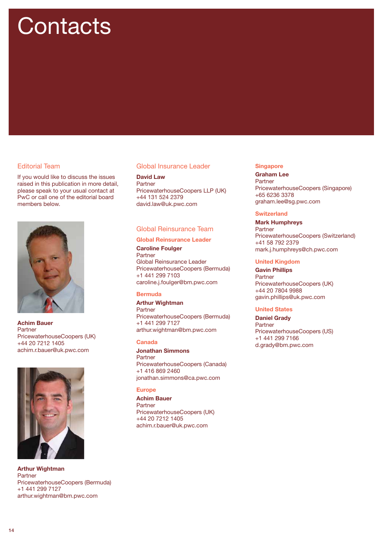# **Contacts**

### Editorial Team

If you would like to discuss the issues raised in this publication in more detail, please speak to your usual contact at PwC or call one of the editorial board members below.



Achim Bauer **Partner** PricewaterhouseCoopers (UK) +44 20 7212 1405 achim.r.bauer@uk.pwc.com



Arthur Wightman Partner PricewaterhouseCoopers (Bermuda) +1 441 299 7127 arthur.wightman@bm.pwc.com

### Global Insurance Leader

David Law Partner PricewaterhouseCoopers LLP (UK) +44 131 524 2379 david.law@uk.pwc.com

### Global Reinsurance Team

### Global Reinsurance Leader

Caroline Foulger Partner Global Reinsurance Leader PricewaterhouseCoopers (Bermuda) +1 441 299 7103 caroline.j.foulger@bm.pwc.com

### Bermuda

Arthur Wightman Partner PricewaterhouseCoopers (Bermuda) +1 441 299 7127 arthur.wightman@bm.pwc.com

### Canada

Jonathan Simmons Partner PricewaterhouseCoopers (Canada) +1 416 869 2460 jonathan.simmons@ca.pwc.com

### Europe

Achim Bauer **Partner** PricewaterhouseCoopers (UK) +44 20 7212 1405 achim.r.bauer@uk.pwc.com

### **Singapore**

Graham Lee Partner PricewaterhouseCoopers (Singapore) +65 6236 3378 graham.lee@sg.pwc.com

### **Switzerland**

Mark Humphreys Partner PricewaterhouseCoopers (Switzerland) +41 58 792 2379 mark.j.humphreys@ch.pwc.com

### United Kingdom

Gavin Phillips Partner PricewaterhouseCoopers (UK) +44 20 7804 9988 gavin.phillips@uk.pwc.com

### United States

Daniel Grady Partner PricewaterhouseCoopers (US) +1 441 299 7166 d.grady@bm.pwc.com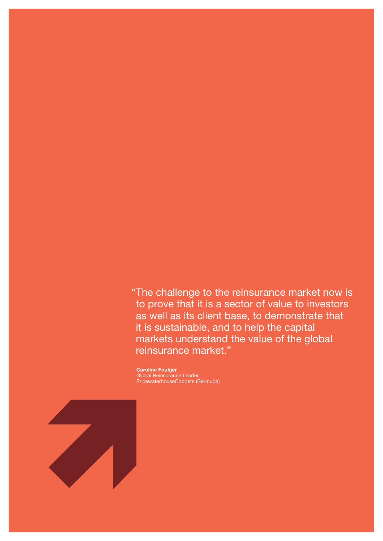"The challenge to the reinsurance market now is to prove that it is a sector of value to investors as well as its client base, to demonstrate that it is sustainable, and to help the capital markets understand the value of the global reinsurance market."

Caroline Foulger Global Reinsurance Leader PricewaterhouseCoopers (Bermuda)